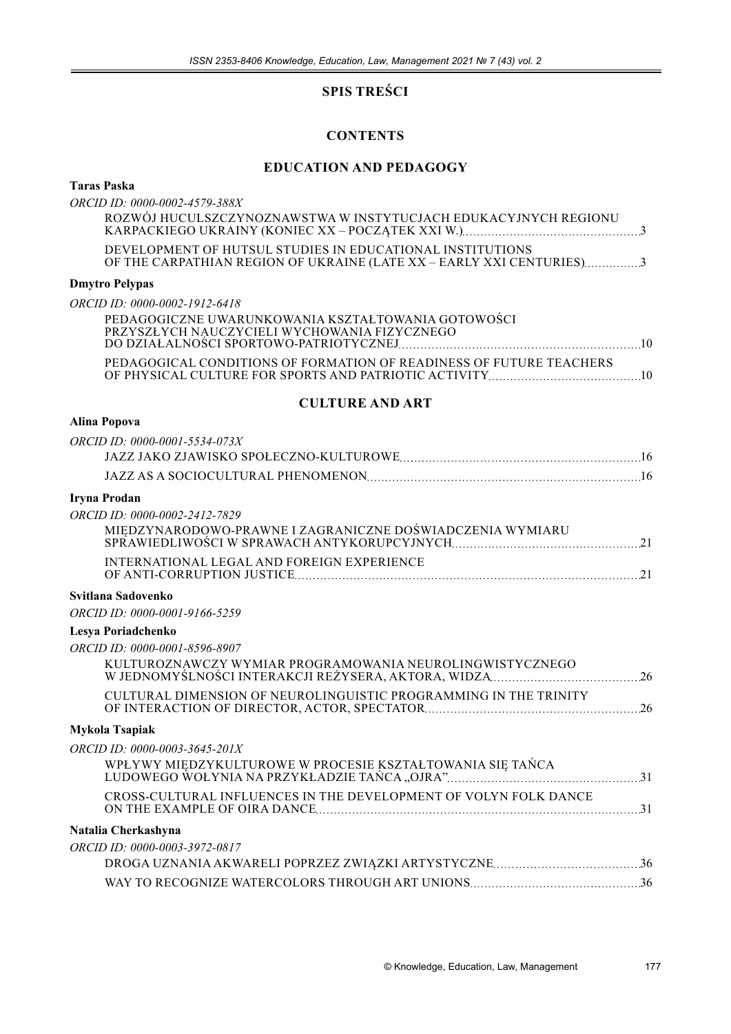## **SPIS TREŚCI**

## **CONTENTS**

## **EDUCATION AND PEDAGOGY**

### **Taras Paska**

*ORCID ID: 0000-0002-4579-388X* ROZWÓJ HUCULSZCZYNOZNAWSTWA W INSTYTUCJACH EDUKACYJNYCH REGIONU KARPACKIEGO UKRAINY (KONIEC XX – POCZĄTEK XXI W.) 3

DEVELOPMENT OF HUTSUL STUDIES IN EDUCATIONAL INSTITUTIONS OF THE CARPATHIAN REGION OF UKRAINE (LATE XX – EARLY XXI CENTURIES) 3

### **Dmytro Pelypas**

*ORCID ID: 0000-0002-1912-6418*

| PEDAGOGICZNE UWARUNKOWANIA KSZTAŁTOWANIA GOTOWOŚCI<br>PRZYSZŁYCH NAUCZYCIELI WYCHOWANIA FIZYCZNEGO |  |
|----------------------------------------------------------------------------------------------------|--|
| PEDAGOGICAL CONDITIONS OF FORMATION OF READINESS OF FUTURE TEACHERS                                |  |

#### **CULTURE AND ART**

### **Alina Popova**

| ORCID ID: 0000-0001-5534-073X                                    |  |
|------------------------------------------------------------------|--|
|                                                                  |  |
|                                                                  |  |
| Iryna Prodan                                                     |  |
| ORCID ID: 0000-0002-2412-7829                                    |  |
|                                                                  |  |
| INTERNATIONAL LEGAL AND FOREIGN EXPERIENCE                       |  |
| Svitlana Sadovenko                                               |  |
| ORCID ID: 0000-0001-9166-5259                                    |  |
| Lesya Poriadchenko                                               |  |
| ORCID ID: 0000-0001-8596-8907                                    |  |
| KULTUROZNAWCZY WYMIAR PROGRAMOWANIA NEUROLINGWISTYCZNEGO         |  |
| CULTURAL DIMENSION OF NEUROLINGUISTIC PROGRAMMING IN THE TRINITY |  |
| Mykola Tsapiak                                                   |  |
| ORCID ID: 0000-0003-3645-201X                                    |  |
| WPŁYWY MIĘDZYKULTUROWE W PROCESIE KSZTAŁTOWANIA SIĘ TAŃCA        |  |
| CROSS-CULTURAL INFLUENCES IN THE DEVELOPMENT OF VOLYN FOLK DANCE |  |
| Natalia Cherkashyna                                              |  |
| ORCID ID: 0000-0003-3972-0817                                    |  |
|                                                                  |  |
|                                                                  |  |
|                                                                  |  |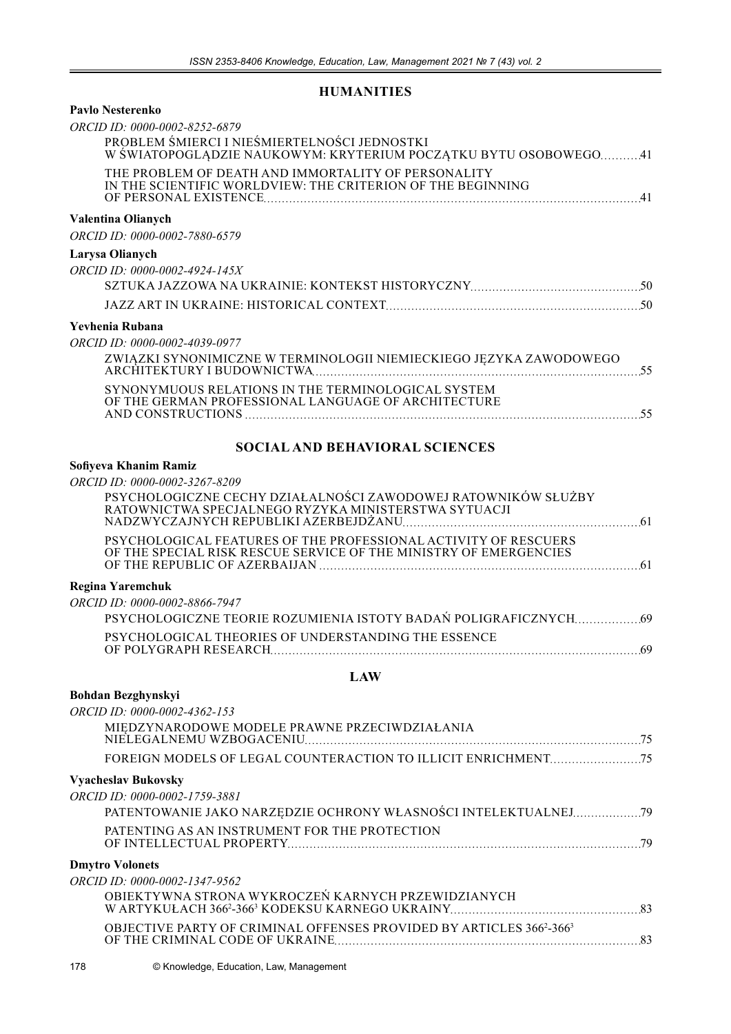## **HUMANITIES**

| <b>Pavlo Nesterenko</b><br>ORCID ID: 0000-0002-8252-6879<br>PROBLEM ŚMIERCI I NIEŚMIERTELNOŚCI JEDNOSTKI                                                                              |
|---------------------------------------------------------------------------------------------------------------------------------------------------------------------------------------|
| W ŚWIATOPOGLĄDZIE NAUKOWYM: KRYTERIUM POCZĄTKU BYTU OSOBOWEGO41<br>THE PROBLEM OF DEATH AND IMMORTALITY OF PERSONALITY<br>IN THE SCIENTIFIC WORLDVIEW: THE CRITERION OF THE BEGINNING |
| <b>Valentina Olianych</b><br>ORCID ID: 0000-0002-7880-6579                                                                                                                            |
| Larysa Olianych                                                                                                                                                                       |
| ORCID ID: 0000-0002-4924-145X                                                                                                                                                         |
|                                                                                                                                                                                       |
|                                                                                                                                                                                       |
| Yevhenia Rubana                                                                                                                                                                       |
| ORCID ID: 0000-0002-4039-0977<br>$\frac{ZWIAZKI\ SYNONIMICZNE\ W\ TERMINOLOGII\ NIEMIECKIEGO\ JEZYKA\ ZAWODOWEGO\ ARCHITEKTURY\ I\ BUDOWNICTWA$                                       |
| SYNONYMUOUS RELATIONS IN THE TERMINOLOGICAL SYSTEM<br>OF THE GERMAN PROFESSIONAL LANGUAGE OF ARCHITECTURE                                                                             |
| <b>SOCIAL AND BEHAVIORAL SCIENCES</b>                                                                                                                                                 |
| Sofiyeva Khanim Ramiz                                                                                                                                                                 |
| ORCID ID: 0000-0002-3267-8209                                                                                                                                                         |
| PSYCHOLOGICZNE CECHY DZIAŁALNOŚCI ZAWODOWEJ RATOWNIKÓW SŁUŻBY<br>RATOWNICTWA SPECJALNEGO RYZYKA MINISTERSTWA SYTUACJI                                                                 |
| PSYCHOLOGICAL FEATURES OF THE PROFESSIONAL ACTIVITY OF RESCUERS<br>OF THE SPECIAL RISK RESCUE SERVICE OF THE MINISTRY OF EMERGENCIES                                                  |
| Regina Yaremchuk                                                                                                                                                                      |
| ORCID ID: 0000-0002-8866-7947<br>PSYCHOLOGICZNE TEORIE ROZUMIENIA ISTOTY BADAŃ POLIGRAFICZNYCH69                                                                                      |
| PSYCHOLOGICAL THEORIES OF UNDERSTANDING THE ESSENCE<br>OF POLYGRAPH RESEARCH<br>.69                                                                                                   |
| <b>LAW</b>                                                                                                                                                                            |
| <b>Bohdan Bezghynskyi</b>                                                                                                                                                             |
| ORCID ID: 0000-0002-4362-153                                                                                                                                                          |
| MIĘDZYNARODOWE MODELE PRAWNE PRZECIWDZIAŁANIA                                                                                                                                         |
|                                                                                                                                                                                       |
| <b>Vyacheslav Bukovsky</b>                                                                                                                                                            |
| ORCID ID: 0000-0002-1759-3881                                                                                                                                                         |
| PATENTOWANIE JAKO NARZĘDZIE OCHRONY WŁASNOŚCI INTELEKTUALNEJ 79                                                                                                                       |
| PATENTING AS AN INSTRUMENT FOR THE PROTECTION                                                                                                                                         |
| <b>Dmytro Volonets</b>                                                                                                                                                                |
| ORCID ID: 0000-0002-1347-9562                                                                                                                                                         |
| OBIEKTYWNA STRONA WYKROCZEŃ KARNYCH PRZEWIDZIANYCH                                                                                                                                    |
| OBJECTIVE PARTY OF CRIMINAL OFFENSES PROVIDED BY ARTICLES 3662-3663                                                                                                                   |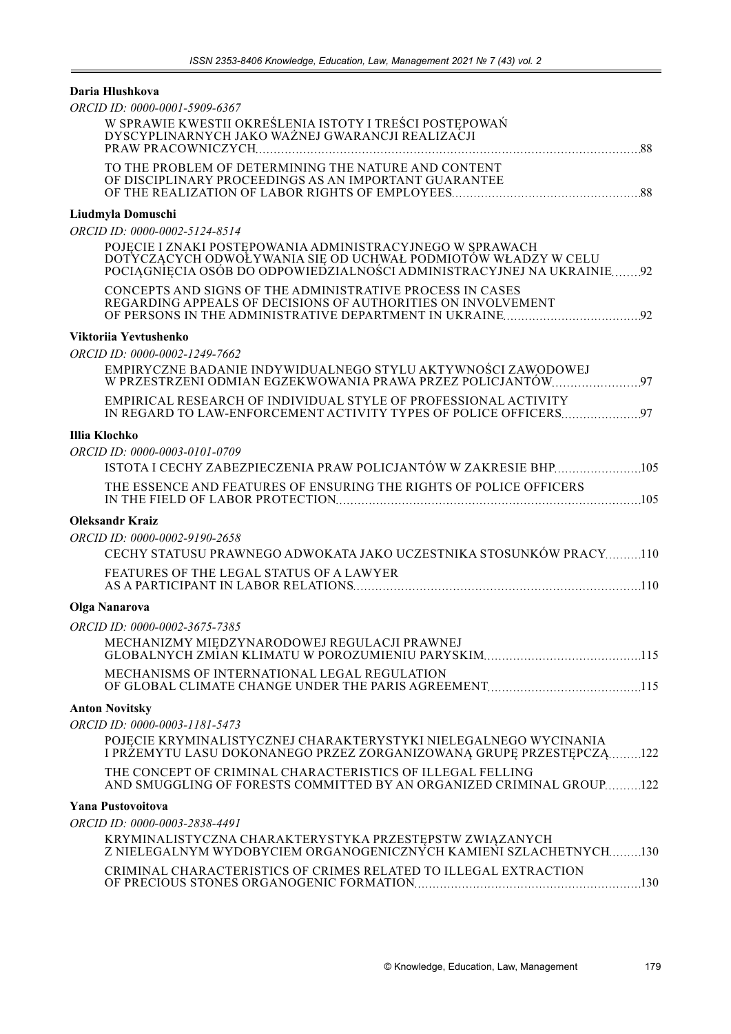## **Daria Hlushkova**

| ORCID ID: 0000-0001-5909-6367                                                                                                                                                                       |
|-----------------------------------------------------------------------------------------------------------------------------------------------------------------------------------------------------|
| W SPRAWIE KWESTII OKREŚLENIA ISTOTY I TREŚCI POSTĘPOWAŃ<br>DYSCYPLINARNYCH JAKO WAŻNEJ GWARANCJI REALIZACJI                                                                                         |
| TO THE PROBLEM OF DETERMINING THE NATURE AND CONTENT<br>OF DISCIPLINARY PROCEEDINGS AS AN IMPORTANT GUARANTEE                                                                                       |
| Liudmyla Domuschi                                                                                                                                                                                   |
| ORCID ID: 0000-0002-5124-8514                                                                                                                                                                       |
| POJĘCIE I ZNAKI POSTĘPOWANIA ADMINISTRACYJNEGO W SPRAWACH<br>DOTYCZĄCYCH ODWOŁYWANIA SIĘ OD UCHWAŁ PODMIOTÓW WŁADZY W CELU<br>POCIĄGNIĘCIA OSÓB DO ODPOWIEDZIALNOŚCI ADMINISTRACYJNEJ NA UKRAINIE92 |
| CONCEPTS AND SIGNS OF THE ADMINISTRATIVE PROCESS IN CASES<br>REGARDING APPEALS OF DECISIONS OF AUTHORITIES ON INVOLVEMENT                                                                           |
| Viktoriia Yevtushenko                                                                                                                                                                               |
| ORCID ID: 0000-0002-1249-7662                                                                                                                                                                       |
| EMPIRYCZNE BADANIE INDYWIDUALNEGO STYLU AKTYWNOŚCI ZAWODOWEJ<br>W PRZESTRZENI ODMIAN EGZEKWOWANIA PRAWA PRZEZ POLICJANTÓW 97                                                                        |
| EMPIRICAL RESEARCH OF INDIVIDUAL STYLE OF PROFESSIONAL ACTIVITY                                                                                                                                     |
| Illia Klochko                                                                                                                                                                                       |
| ORCID ID: 0000-0003-0101-0709                                                                                                                                                                       |
| ISTOTA I CECHY ZABEZPIECZENIA PRAW POLICJANTÓW W ZAKRESIE BHP105                                                                                                                                    |
| THE ESSENCE AND FEATURES OF ENSURING THE RIGHTS OF POLICE OFFICERS                                                                                                                                  |
| Oleksandr Kraiz                                                                                                                                                                                     |
| ORCID ID: 0000-0002-9190-2658                                                                                                                                                                       |
| CECHY STATUSU PRAWNEGO ADWOKATA JAKO UCZESTNIKA STOSUNKÓW PRACY110                                                                                                                                  |
| FEATURES OF THE LEGAL STATUS OF A LAWYER                                                                                                                                                            |
| Olga Nanarova                                                                                                                                                                                       |
| ORCID ID: 0000-0002-3675-7385                                                                                                                                                                       |
| MECHANIZMY MIEDZYNARODOWEJ REGULACJI PRAWNEJ                                                                                                                                                        |
| MECHANISMS OF INTERNATIONAL LEGAL REGULATION                                                                                                                                                        |
| <b>Anton Novitsky</b>                                                                                                                                                                               |
| ORCID ID: 0000-0003-1181-5473                                                                                                                                                                       |
| POJĘCIE KRYMINALISTYCZNEJ CHARAKTERYSTYKI NIELEGALNEGO WYCINANIA<br>I PRŻEMYTU LASU DOKONANEGO PRZEZ ZORGANIZOWANĄ GRUPĘ PRZESTĘPCZĄ122                                                             |
| THE CONCEPT OF CRIMINAL CHARACTERISTICS OF ILLEGAL FELLING<br>AND SMUGGLING OF FORESTS COMMITTED BY AN ORGANIZED CRIMINAL GROUP122                                                                  |
| Yana Pustovoitova                                                                                                                                                                                   |
| ORCID ID: 0000-0003-2838-4491                                                                                                                                                                       |
| KRYMINALISTYCZNA CHARAKTERYSTYKA PRZESTĘPSTW ZWIĄZANYCH<br>Z NIELEGALNYM WYDOBYCIEM ORGANOGENICZNYCH KAMIENI SZLACHETNYCH130                                                                        |
| CRIMINAL CHARACTERISTICS OF CRIMES RELATED TO ILLEGAL EXTRACTION                                                                                                                                    |